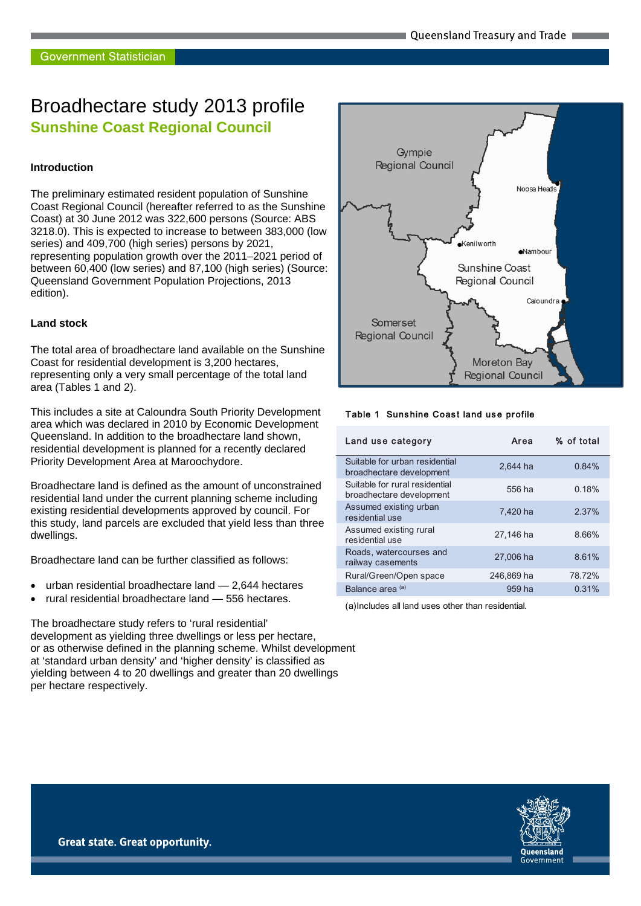# Broadhectare study 2013 profile **Sunshine Coast Regional Council**

#### **Introduction**

The preliminary estimated resident population of Sunshine Coast Regional Council (hereafter referred to as the Sunshine Coast) at 30 June 2012 was 322,600 persons (Source: ABS 3218.0). This is expected to increase to between 383,000 (low series) and 409,700 (high series) persons by 2021, representing population growth over the 2011–2021 period of between 60,400 (low series) and 87,100 (high series) (Source: Queensland Government Population Projections, 2013 edition).

#### **Land stock**

The total area of broadhectare land available on the Sunshine Coast for residential development is 3,200 hectares, representing only a very small percentage of the total land area (Tables 1 and 2).

This includes a site at Caloundra South Priority Development area which was declared in 2010 by Economic Development Queensland. In addition to the broadhectare land shown, residential development is planned for a recently declared Priority Development Area at Maroochydore.

Broadhectare land is defined as the amount of unconstrained residential land under the current planning scheme including existing residential developments approved by council. For this study, land parcels are excluded that yield less than three dwellings.

Broadhectare land can be further classified as follows:

- urban residential broadhectare land 2,644 hectares
- rural residential broadhectare land 556 hectares.

The broadhectare study refers to 'rural residential' development as yielding three dwellings or less per hectare, or as otherwise defined in the planning scheme. Whilst development at 'standard urban density' and 'higher density' is classified as yielding between 4 to 20 dwellings and greater than 20 dwellings per hectare respectively.



#### Table 1 Sunshine Coast land use profile

| Land use category                                          | Area       | % of total |
|------------------------------------------------------------|------------|------------|
| Suitable for urban residential<br>broadhectare development | 2.644 ha   | 0.84%      |
| Suitable for rural residential<br>broadhectare development | 556 ha     | 0.18%      |
| Assumed existing urban<br>residential use                  | 7.420 ha   | 2.37%      |
| Assumed existing rural<br>residential use                  | 27.146 ha  | 8.66%      |
| Roads, watercourses and<br>railway casements               | 27,006 ha  | 8.61%      |
| Rural/Green/Open space                                     | 246,869 ha | 78.72%     |
| Balance area <sup>(a)</sup>                                | 959 ha     | 0.31%      |

(a)Includes all land uses other than residential.

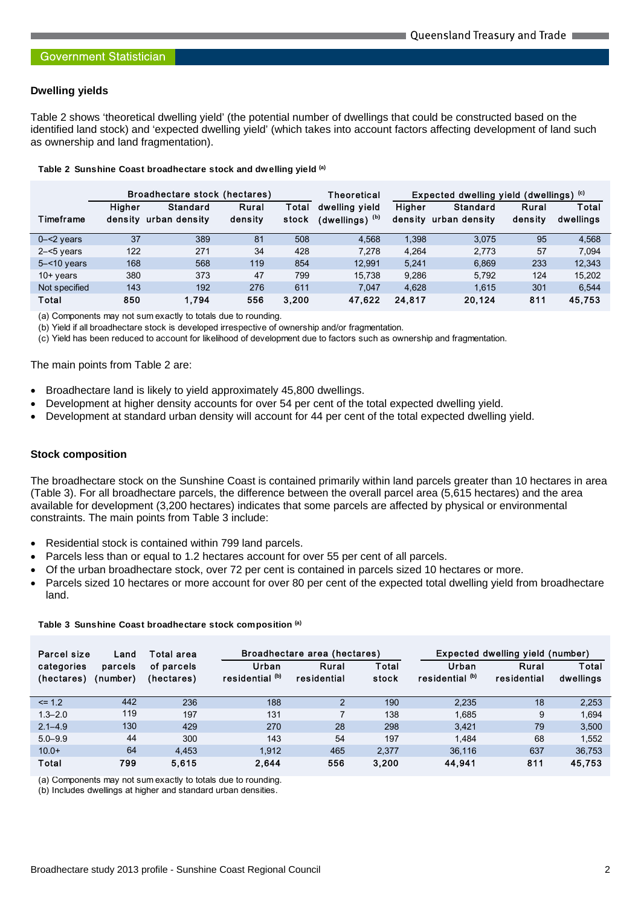## **Dwelling yields**

Table 2 shows 'theoretical dwelling yield' (the potential number of dwellings that could be constructed based on the identified land stock) and 'expected dwelling yield' (which takes into account factors affecting development of land such as ownership and land fragmentation).

**Table 2 Sunshine Coast broadhectare stock and dwelling yield (a)**

|                | Broadhectare stock (hectares) |                           |                  | Theoretical    | Expected dwelling yield (dwellings) $\circ$   |                          |                           |                  |                    |
|----------------|-------------------------------|---------------------------|------------------|----------------|-----------------------------------------------|--------------------------|---------------------------|------------------|--------------------|
| Timeframe      | <b>Higher</b><br>density      | Standard<br>urban density | Rural<br>density | Total<br>stock | dwelling vield<br>$(dwelling)$ <sup>(b)</sup> | <b>Higher</b><br>density | Standard<br>urban density | Rural<br>density | Total<br>dwellings |
| $0 - 2$ years  | 37                            | 389                       | 81               | 508            | 4.568                                         | 1.398                    | 3.075                     | 95               | 4.568              |
| $2 - 5$ years  | 122                           | 271                       | 34               | 428            | 7.278                                         | 4.264                    | 2.773                     | 57               | 7.094              |
| $5 - 10$ years | 168                           | 568                       | 119              | 854            | 12.991                                        | 5.241                    | 6.869                     | 233              | 12,343             |
| $10+$ years    | 380                           | 373                       | 47               | 799            | 15.738                                        | 9.286                    | 5.792                     | 124              | 15.202             |
| Not specified  | 143                           | 192                       | 276              | 611            | 7.047                                         | 4.628                    | 1.615                     | 301              | 6.544              |
| Total          | 850                           | 1.794                     | 556              | 3.200          | 47.622                                        | 24.817                   | 20.124                    | 811              | 45.753             |

(a) Components may not sum exactly to totals due to rounding.

(b) Yield if all broadhectare stock is developed irrespective of ownership and/or fragmentation.

(c) Yield has been reduced to account for likelihood of development due to factors such as ownership and fragmentation.

The main points from Table 2 are:

- Broadhectare land is likely to yield approximately 45,800 dwellings.
- Development at higher density accounts for over 54 per cent of the total expected dwelling yield.
- Development at standard urban density will account for 44 per cent of the total expected dwelling yield.

#### **Stock composition**

The broadhectare stock on the Sunshine Coast is contained primarily within land parcels greater than 10 hectares in area (Table 3). For all broadhectare parcels, the difference between the overall parcel area (5,615 hectares) and the area available for development (3,200 hectares) indicates that some parcels are affected by physical or environmental constraints. The main points from Table 3 include:

- Residential stock is contained within 799 land parcels.
- Parcels less than or equal to 1.2 hectares account for over 55 per cent of all parcels.
- Of the urban broadhectare stock, over 72 per cent is contained in parcels sized 10 hectares or more.
- Parcels sized 10 hectares or more account for over 80 per cent of the expected total dwelling yield from broadhectare land.

|  |  |  | Table 3 Sunshine Coast broadhectare stock composition (a) |  |  |  |
|--|--|--|-----------------------------------------------------------|--|--|--|
|--|--|--|-----------------------------------------------------------|--|--|--|

| Parcel size<br>Total area<br>Land |                     |                          | Broadhectare area (hectares)        |                      | Expected dwelling yield (number) |                                     |                      |                    |
|-----------------------------------|---------------------|--------------------------|-------------------------------------|----------------------|----------------------------------|-------------------------------------|----------------------|--------------------|
| categories<br>(hectares)          | parcels<br>(number) | of parcels<br>(hectares) | Urban<br>residential <sup>(b)</sup> | Rural<br>residential | Total<br>stock                   | Urban<br>residential <sup>(b)</sup> | Rural<br>residential | Total<br>dwellings |
| $\leq$ 1.2                        | 442                 | 236                      | 188                                 | $\overline{2}$       | 190                              | 2.235                               | 18                   | 2.253              |
| $1.3 - 2.0$                       | 119                 | 197                      | 131                                 | $\overline{7}$       | 138                              | 1,685                               | 9                    | 1.694              |
| $2.1 - 4.9$                       | 130                 | 429                      | 270                                 | 28                   | 298                              | 3.421                               | 79                   | 3,500              |
| $5.0 - 9.9$                       | 44                  | 300                      | 143                                 | 54                   | 197                              | 1.484                               | 68                   | 1.552              |
| $10.0+$                           | 64                  | 4.453                    | 1.912                               | 465                  | 2.377                            | 36.116                              | 637                  | 36,753             |
| Total                             | 799                 | 5.615                    | 2.644                               | 556                  | 3.200                            | 44.941                              | 811                  | 45,753             |

(a) Components may not sum exactly to totals due to rounding.

(b) Includes dwellings at higher and standard urban densities.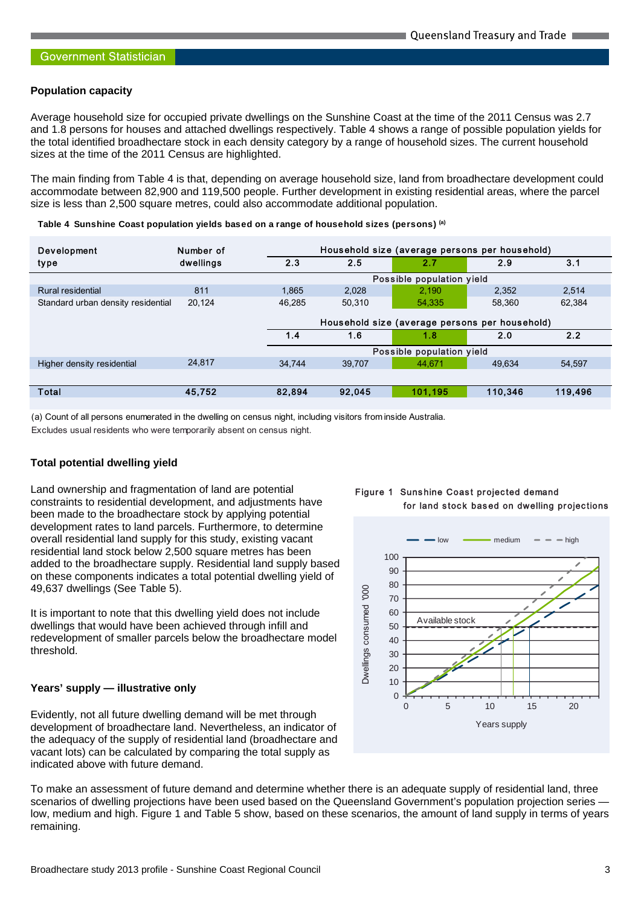#### **Population capacity**

Average household size for occupied private dwellings on the Sunshine Coast at the time of the 2011 Census was 2.7 and 1.8 persons for houses and attached dwellings respectively. Table 4 shows a range of possible population yields for the total identified broadhectare stock in each density category by a range of household sizes. The current household sizes at the time of the 2011 Census are highlighted.

The main finding from Table 4 is that, depending on average household size, land from broadhectare development could accommodate between 82,900 and 119,500 people. Further development in existing residential areas, where the parcel size is less than 2,500 square metres, could also accommodate additional population.

| Development                        | Number of |                                                | Household size (average persons per household) |                           |         |         |  |  |
|------------------------------------|-----------|------------------------------------------------|------------------------------------------------|---------------------------|---------|---------|--|--|
| type                               | dwellings | 2.3                                            | 2.5                                            | 2.7                       | 2.9     | 3.1     |  |  |
|                                    |           |                                                | Possible population yield                      |                           |         |         |  |  |
| Rural residential                  | 811       | 1.865                                          | 2.028                                          | 2.190                     | 2,352   | 2.514   |  |  |
| Standard urban density residential | 20.124    | 46.285                                         | 50.310                                         | 54.335                    | 58.360  | 62,384  |  |  |
|                                    |           | Household size (average persons per household) |                                                |                           |         |         |  |  |
|                                    |           | 1.4                                            | 1.6                                            | 1.8                       | 2.0     | 2.2     |  |  |
|                                    |           |                                                |                                                |                           |         |         |  |  |
|                                    |           |                                                |                                                | Possible population yield |         |         |  |  |
| Higher density residential         | 24.817    | 34.744                                         | 39.707                                         | 44.671                    | 49.634  | 54.597  |  |  |
|                                    |           |                                                |                                                |                           |         |         |  |  |
| Total                              | 45,752    | 82,894                                         | 92,045                                         | 101.195                   | 110,346 | 119,496 |  |  |
|                                    |           |                                                |                                                |                           |         |         |  |  |

(a) Count of all persons enumerated in the dwelling on census night, including visitors from inside Australia.

Excludes usual residents who were temporarily absent on census night.

## **Total potential dwelling yield**

Land ownership and fragmentation of land are potential constraints to residential development, and adjustments have been made to the broadhectare stock by applying potential development rates to land parcels. Furthermore, to determine overall residential land supply for this study, existing vacant residential land stock below 2,500 square metres has been added to the broadhectare supply. Residential land supply based on these components indicates a total potential dwelling yield of 49,637 dwellings (See Table 5).

It is important to note that this dwelling yield does not include dwellings that would have been achieved through infill and redevelopment of smaller parcels below the broadhectare model threshold.

## **Years' supply — illustrative only**

Evidently, not all future dwelling demand will be met through development of broadhectare land. Nevertheless, an indicator of the adequacy of the supply of residential land (broadhectare and vacant lots) can be calculated by comparing the total supply as indicated above with future demand.

To make an assessment of future demand and determine whether there is an adequate supply of residential land, three scenarios of dwelling projections have been used based on the Queensland Government's population projection series low, medium and high. Figure 1 and Table 5 show, based on these scenarios, the amount of land supply in terms of years remaining.



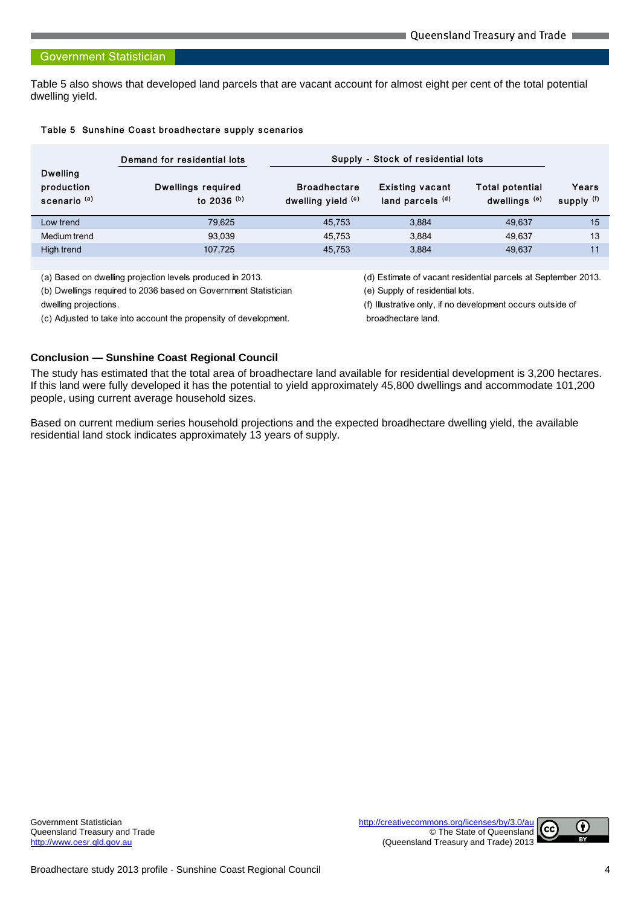#### **Government Statistician**

Table 5 also shows that developed land parcels that are vacant account for almost eight per cent of the total potential dwelling yield.

|  |  |  | Table 5 Sunshine Coast broadhectare supply scenarios |  |  |
|--|--|--|------------------------------------------------------|--|--|
|--|--|--|------------------------------------------------------|--|--|

|                                                          | Demand for residential lots                    | Supply - Stock of residential lots        |                                            |                                                    |                     |
|----------------------------------------------------------|------------------------------------------------|-------------------------------------------|--------------------------------------------|----------------------------------------------------|---------------------|
| <b>Dwelling</b><br>production<br>scenario <sup>(a)</sup> | Dwellings required<br>to $2036$ <sup>(b)</sup> | <b>Broadhectare</b><br>dwelling yield (c) | <b>Existing vacant</b><br>land parcels (d) | <b>Total potential</b><br>dwellings <sup>(e)</sup> | Years<br>supply (f) |
| Low trend                                                | 79.625                                         | 45.753                                    | 3.884                                      | 49.637                                             | 15                  |
| Medium trend                                             | 93.039                                         | 45.753                                    | 3.884                                      | 49.637                                             | 13                  |
| High trend                                               | 107.725                                        | 45.753                                    | 3.884                                      | 49.637                                             | 11                  |
|                                                          |                                                |                                           |                                            |                                                    |                     |

(b) Dwellings required to 2036 based on Government Statistician (e) Supply of residential lots.

(c) Adjusted to take into account the propensity of development. broadhectare land.

(a) Based on dwelling projection levels produced in 2013. (d) Estimate of vacant residential parcels at September 2013.

dwelling projections. (f) Illustrative only, if no development occurs outside of

# **Conclusion — Sunshine Coast Regional Council**

The study has estimated that the total area of broadhectare land available for residential development is 3,200 hectares. If this land were fully developed it has the potential to yield approximately 45,800 dwellings and accommodate 101,200 people, using current average household sizes.

Based on current medium series household projections and the expected broadhectare dwelling yield, the available residential land stock indicates approximately 13 years of supply.